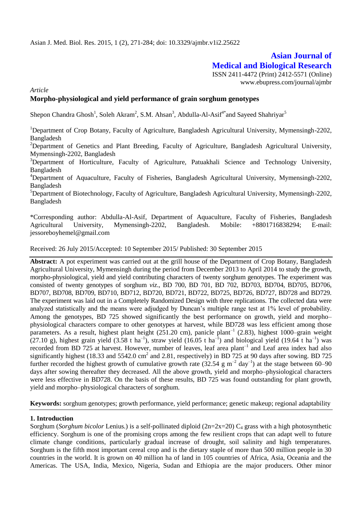# **Asian Journal of Medical and Biological Research**

ISSN 2411-4472 (Print) 2412-5571 (Online) www.ebupress.com/journal/ajmbr

*Article*

# **Morpho-physiological and yield performance of grain sorghum genotypes**

Shepon Chandra Ghosh<sup>1</sup>, Soleh Akram<sup>2</sup>, S.M. Ahsan<sup>3</sup>, Abdulla-Al-Asif<sup>4\*</sup>and Sayeed Shahriyar<sup>5</sup>

<sup>1</sup>Department of Crop Botany, Faculty of Agriculture, Bangladesh Agricultural University, Mymensingh-2202, Bangladesh

<sup>2</sup>Department of Genetics and Plant Breeding, Faculty of Agriculture, Bangladesh Agricultural University, Mymensingh-2202, Bangladesh

<sup>3</sup>Department of Horticulture, Faculty of Agriculture, Patuakhali Science and Technology University, Bangladesh

<sup>4</sup>Department of Aquaculture, Faculty of Fisheries, Bangladesh Agricultural University, Mymensingh-2202, Bangladesh

 $5$ Department of Biotechnology, Faculty of Agriculture, Bangladesh Agricultural University, Mymensingh-2202, Bangladesh

\*Corresponding author: Abdulla-Al-Asif, Department of Aquaculture, Faculty of Fisheries, Bangladesh Agricultural University, Mymensingh-2202, Bangladesh. Mobile: +8801716838294; E-mail: jessoreboyhemel@gmail.com

Received: 26 July 2015/Accepted: 10 September 2015/ Published: 30 September 2015

**Abstract:** A pot experiment was carried out at the grill house of the Department of Crop Botany, Bangladesh Agricultural University, Mymensingh during the period from December 2013 to April 2014 to study the growth, morpho-physiological, yield and yield contributing characters of twenty sorghum genotypes. The experiment was consisted of twenty genotypes of sorghum *viz*., BD 700, BD 701, BD 702, BD703, BD704, BD705, BD706, BD707, BD708, BD709, BD710, BD712, BD720, BD721, BD722, BD725, BD726, BD727, BD728 and BD729. The experiment was laid out in a Completely Randomized Design with three replications. The collected data were analyzed statistically and the means were adjudged by Duncan's multiple range test at 1% level of probability. Among the genotypes, BD 725 showed significantly the best performance on growth, yield and morpho– physiological characters compare to other genotypes at harvest, while BD728 was less efficient among those parameters. As a result, highest plant height (251.20 cm), panicle plant<sup>-1</sup> (2.83), highest 1000-grain weight (27.10 g), highest grain yield (3.58 t ha<sup>-1</sup>), straw yield (16.05 t ha<sup>-1</sup>) and biological yield (19.64 t ha<sup>-1</sup>) was recorded from BD 725 at harvest. However, number of leaves, leaf area plant<sup>-1</sup> and Leaf area index had also significantly highest (18.33 and 5542.0 cm<sup>2</sup> and 2.81, respectively) in BD 725 at 90 days after sowing. BD 725 further recorded the highest growth of cumulative growth rate  $(32.54 \text{ g m}^{-2} \text{ day}^{-1})$  at the stage between 60–90 days after sowing thereafter they decreased. All the above growth, yield and morpho–physiological characters were less effective in BD728. On the basis of these results, BD 725 was found outstanding for plant growth, yield and morpho–physiological characters of sorghum.

**Keywords:** sorghum genotypes; growth performance, yield performance; genetic makeup; regional adaptability

## **1. Introduction**

Sorghum (*Sorghum bicolor* Lenius.) is a self-pollinated diploid (2n=2x=20) C<sup>4</sup> grass with a high photosynthetic efficiency. Sorghum is one of the promising crops among the few resilient crops that can adapt well to future climate change conditions, particularly gradual increase of drought, soil salinity and high temperatures. Sorghum is the fifth most important cereal crop and is the dietary staple of more than 500 million people in 30 countries in the world. It is grown on 40 million ha of land in 105 countries of Africa, Asia, Oceania and the Americas. The USA, India, Mexico, Nigeria, Sudan and Ethiopia are the major producers. Other minor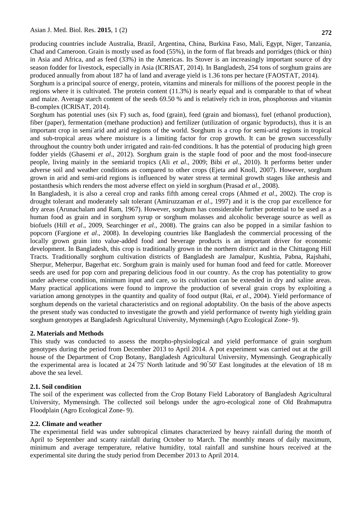producing countries include Australia, Brazil, Argentina, China, Burkina Faso, Mali, Egypt, Niger, Tanzania, Chad and Cameroon. Grain is mostly used as food (55%), in the form of flat breads and porridges (thick or thin) in Asia and Africa, and as feed (33%) in the Americas. Its Stover is an increasingly important source of dry season fodder for livestock, especially in Asia (ICRISAT, 2014). In Bangladesh, 254 tons of sorghum grains are produced annually from about 187 ha of land and average yield is 1.36 tons per hectare (FAOSTAT, 2014).

Sorghum is a principal source of energy, protein, vitamins and minerals for millions of the poorest people in the regions where it is cultivated. The protein content (11.3%) is nearly equal and is comparable to that of wheat and maize. Average starch content of the seeds 69.50 % and is relatively rich in iron, phosphorous and vitamin B-complex (ICRISAT, 2014).

Sorghum has potential uses (six F) such as, food (grain), feed (grain and biomass), fuel (ethanol production), fiber (paper), fermentation (methane production) and fertilizer (utilization of organic byproducts), thus it is an important crop in semi-arid and arid regions of the world. Sorghum is a crop for semi-arid regions in tropical and sub-tropical areas where moisture is a limiting factor for crop growth. It can be grown successfully throughout the country both under irrigated and rain-fed conditions. It has the potential of producing high green fodder yields (Ghasemi *et al*., 2012). Sorghum grain is the staple food of poor and the most food-insecure people, living mainly in the semiarid tropics (Ali *et al*., 2009; Bibi *et al*., 2010). It performs better under adverse soil and weather conditions as compared to other crops (Ejeta and Knoll, 2007). However, sorghum grown in arid and semi-arid regions is influenced by water stress at terminal growth stages like anthesis and postanthesis which renders the most adverse effect on yield in sorghum (Prasad *et al*., 2008).

In Bangladesh, it is also a cereal crop and ranks fifth among cereal crops (Ahmed *et al*., 2002). The crop is drought tolerant and moderately salt tolerant (Amiruzzaman *et al*., 1997) and it is the crop par excellence for dry areas (Arunachalam and Ram, 1967). However, sorghum has considerable further potential to be used as a human food as grain and in sorghum syrup or sorghum molasses and alcoholic beverage source as well as biofuels (Hill *et al*., 2009, Searchinger *et al*., 2008). The grains can also be popped in a similar fashion to popcorn (Fargione *et al*., 2008). In developing countries like Bangladesh the commercial processing of the locally grown grain into value-added food and beverage products is an important driver for economic development. In Bangladesh, this crop is traditionally grown in the northern district and in the Chittagong Hill Tracts. Traditionally sorghum cultivation districts of Bangladesh are Jamalpur, Kushtia, Pabna, Rajshahi, Sherpur, Meherpur, Bagerhat etc. Sorghum grain is mainly used for human food and feed for cattle. Moreover seeds are used for pop corn and preparing delicious food in our country. As the crop has potentiality to grow under adverse condition, minimum input and care, so its cultivation can be extended in dry and saline areas. Many practical applications were found to improve the production of several grain crops by exploiting a variation among genotypes in the quantity and quality of food output (Rai, *et al*., 2004). Yield performance of sorghum depends on the varietal characteristics and on regional adoptability. On the basis of the above aspects the present study was conducted to investigate the growth and yield performance of twenty high yielding grain sorghum genotypes at Bangladesh Agricultural University, Mymensingh (Agro Ecological Zone- 9).

## **2. Materials and Methods**

This study was conducted to assess the morpho-physiological and yield performance of grain sorghum genotypes during the period from December 2013 to April 2014. A pot experiment was carried out at the grill house of the Department of Crop Botany, Bangladesh Agricultural University, Mymensingh. Geographically the experimental area is located at  $24^{\degree}75'$  North latitude and  $90^{\degree}50'$  East longitudes at the elevation of 18 m above the sea level.

## **2.1. Soil condition**

The soil of the experiment was collected from the Crop Botany Field Laboratory of Bangladesh Agricultural University, Mymensingh. The collected soil belongs under the agro-ecological zone of Old Brahmaputra Floodplain (Agro Ecological Zone- 9).

## **2.2. Climate and weather**

The experimental field was under subtropical climates characterized by heavy rainfall during the month of April to September and scanty rainfall during October to March. The monthly means of daily maximum, minimum and average temperature, relative humidity, total rainfall and sunshine hours received at the experimental site during the study period from December 2013 to April 2014.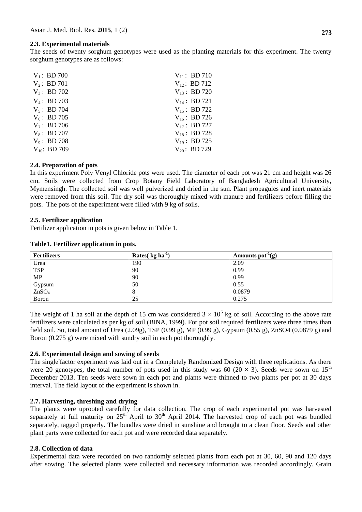# **2.3. Experimental materials**

The seeds of twenty sorghum genotypes were used as the planting materials for this experiment. The twenty sorghum genotypes are as follows:

| $V_1$ : BD 700    | $V_{11}$ : BD 710 |
|-------------------|-------------------|
| $V_2$ : BD 701    | $V_{12}$ : BD 712 |
| $V_3$ : BD 702    | $V_{13}$ : BD 720 |
| $V_4$ : BD 703    | $V_{14}$ : BD 721 |
| $V_5$ : BD 704    | $V_{15}$ : BD 722 |
| $V_6$ : BD 705    | $V_{16}$ : BD 726 |
| $V_7$ : BD 706    | $V_{17}$ : BD 727 |
| $V_8$ : BD 707    | $V_{18}$ : BD 728 |
| $V_9$ : BD 708    | $V_{19}$ : BD 725 |
| $V_{10}$ : BD 709 | $V_{20}$ : BD 729 |
|                   |                   |

# **2.4. Preparation of pots**

In this experiment Poly Venyl Chloride pots were used. The diameter of each pot was 21 cm and height was 26 cm. Soils were collected from Crop Botany Field Laboratory of Bangladesh Agricultural University, Mymensingh. The collected soil was well pulverized and dried in the sun. Plant propagules and inert materials were removed from this soil. The dry soil was thoroughly mixed with manure and fertilizers before filling the pots. The pots of the experiment were filled with 9 kg of soils.

# **2.5. Fertilizer application**

Fertilizer application in pots is given below in Table 1.

#### **Table1. Fertilizer application in pots.**

| <b>Fertilizers</b> | Rates $\left($ kg ha <sup>-1</sup> | Amounts pot $'(g)$ |
|--------------------|------------------------------------|--------------------|
| Urea               | 190                                | 2.09               |
| <b>TSP</b>         | 90                                 | 0.99               |
| MP                 | 90                                 | 0.99               |
| Gypsum             | 50                                 | 0.55               |
| ZnSO <sub>4</sub>  | 8                                  | 0.0879             |
| Boron              | 25                                 | 0.275              |

The weight of 1 ha soil at the depth of 15 cm was considered  $3 \times 10^6$  kg of soil. According to the above rate fertilizers were calculated as per kg of soil (BINA, 1999). For pot soil required fertilizers were three times than field soil. So, total amount of Urea (2.09g), TSP (0.99 g), MP (0.99 g), Gypsum (0.55 g), ZnSO4 (0.0879 g) and Boron  $(0.275 \text{ g})$  were mixed with sundry soil in each pot thoroughly.

## **2.6. Experimental design and sowing of seeds**

The single factor experiment was laid out in a Completely Randomized Design with three replications. As there were 20 genotypes, the total number of pots used in this study was 60 (20  $\times$  3). Seeds were sown on 15<sup>th</sup> December 2013. Ten seeds were sown in each pot and plants were thinned to two plants per pot at 30 days interval. The field layout of the experiment is shown in.

## **2.7. Harvesting, threshing and drying**

The plants were uprooted carefully for data collection. The crop of each experimental pot was harvested separately at full maturity on  $25<sup>th</sup>$  April to  $30<sup>th</sup>$  April 2014. The harvested crop of each pot was bundled separately, tagged properly. The bundles were dried in sunshine and brought to a clean floor. Seeds and other plant parts were collected for each pot and were recorded data separately.

## **2.8. Collection of data**

Experimental data were recorded on two randomly selected plants from each pot at 30, 60, 90 and 120 days after sowing. The selected plants were collected and necessary information was recorded accordingly. Grain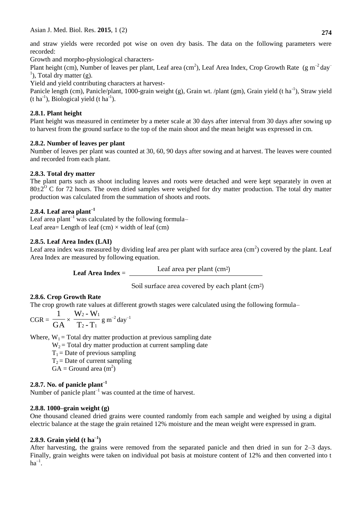and straw yields were recorded pot wise on oven dry basis. The data on the following parameters were recorded:

Growth and morpho-physiological characters-

Plant height (cm), Number of leaves per plant, Leaf area (cm<sup>2</sup>), Leaf Area Index, Crop Growth Rate (g m<sup>-2</sup> day<sup>-</sup>  $<sup>1</sup>$ ), Total dry matter (g).</sup>

Yield and yield contributing characters at harvest-

Panicle length (cm), Panicle/plant, 1000-grain weight (g), Grain wt. /plant (gm), Grain yield (t ha<sup>-1</sup>), Straw yield  $(t \text{ ha}^{-1})$ , Biological yield  $(t \text{ ha}^{-1})$ .

# **2.8.1. Plant height**

Plant height was measured in centimeter by a meter scale at 30 days after interval from 30 days after sowing up to harvest from the ground surface to the top of the main shoot and the mean height was expressed in cm.

# **2.8.2. Number of leaves per plant**

Number of leaves per plant was counted at 30, 60, 90 days after sowing and at harvest. The leaves were counted and recorded from each plant.

# **2.8.3. Total dry matter**

The plant parts such as shoot including leaves and roots were detached and were kept separately in oven at  $80\pm2^{\circ}$  C for 72 hours. The oven dried samples were weighed for dry matter production. The total dry matter production was calculated from the summation of shoots and roots.

# **2.8.4. Leaf area plant–1**

Leaf area plant<sup>-1</sup> was calculated by the following formula– Leaf area= Length of leaf  $(cm) \times width$  of leaf  $(cm)$ 

# **2.8.5. Leaf Area Index (LAI)**

Leaf area index was measured by dividing leaf area per plant with surface area  $(cm<sup>2</sup>)$  covered by the plant. Leaf Area Index are measured by following equation.

**Leaf Area Index** = Leaf area per plant (cm2)

Soil surface area covered by each plant (cm2)

# **2.8.6. Crop Growth Rate**

The crop growth rate values at different growth stages were calculated using the following formula–

$$
CGR = \frac{1}{GA} \times \frac{W_2 - W_1}{T_2 - T_1} g m^{-2} day^{-1}
$$

Where,  $W_1$  = Total dry matter production at previous sampling date

 $W_2$  = Total dry matter production at current sampling date

 $T_1$  = Date of previous sampling

 $T_2$  = Date of current sampling

 $GA =$  Ground area  $(m<sup>2</sup>)$ 

# **2.8.7. No. of panicle plant–1**

Number of panicle plant<sup>-1</sup> was counted at the time of harvest.

# **2.8.8. 1000–grain weight (g)**

One thousand cleaned dried grains were counted randomly from each sample and weighed by using a digital electric balance at the stage the grain retained 12% moisture and the mean weight were expressed in gram.

# **2.8.9. Grain yield (t ha–1 )**

After harvesting, the grains were removed from the separated panicle and then dried in sun for 2–3 days. Finally, grain weights were taken on individual pot basis at moisture content of 12% and then converted into t  $ha^{-1}$ .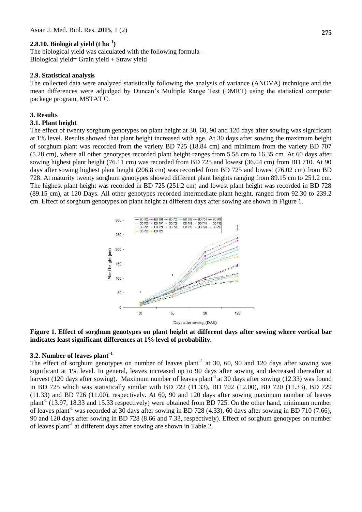# **2.8.10. Biological yield (t ha–1 )**

The biological yield was calculated with the following formula– Biological yield= Grain yield + Straw yield

#### **2.9. Statistical analysis**

The collected data were analyzed statistically following the analysis of variance (ANOVA) technique and the mean differences were adjudged by Duncan's Multiple Range Test (DMRT) using the statistical computer package program, MSTATC.

#### **3. Results**

#### **3.1. Plant height**

The effect of twenty sorghum genotypes on plant height at 30, 60, 90 and 120 days after sowing was significant at 1% level. Results showed that plant height increased with age. At 30 days after sowing the maximum height of sorghum plant was recorded from the variety BD 725 (18.84 cm) and minimum from the variety BD 707 (5.28 cm), where all other genotypes recorded plant height ranges from 5.58 cm to 16.35 cm. At 60 days after sowing highest plant height (76.11 cm) was recorded from BD 725 and lowest (36.04 cm) from BD 710. At 90 days after sowing highest plant height (206.8 cm) was recorded from BD 725 and lowest (76.02 cm) from BD 728. At maturity twenty sorghum genotypes showed different plant heights ranging from 89.15 cm to 251.2 cm. The highest plant height was recorded in BD 725 (251.2 cm) and lowest plant height was recorded in BD 728 (89.15 cm), at 120 Days. All other genotypes recorded intermediate plant height, ranged from 92.30 to 239.2 cm. Effect of sorghum genotypes on plant height at different days after sowing are shown in Figure 1.



**Figure 1. Effect of sorghum genotypes on plant height at different days after sowing where vertical bar indicates least significant differences at 1% level of probability.**

# **3.2. Number of leaves plant–1**

The effect of sorghum genotypes on number of leaves plant<sup>-1</sup> at 30, 60, 90 and 120 days after sowing was significant at 1% level. In general, leaves increased up to 90 days after sowing and decreased thereafter at harvest (120 days after sowing). Maximum number of leaves plant<sup>-1</sup> at 30 days after sowing (12.33) was found in BD 725 which was statistically similar with BD 722 (11.33), BD 702 (12.00), BD 720 (11.33), BD 729 (11.33) and BD 726 (11.00), respectively. At 60, 90 and 120 days after sowing maximum number of leaves plant<sup>-1</sup> (13.97, 18.33 and 15.33 respectively) were obtained from BD 725. On the other hand, minimum number of leaves plant<sup>-1</sup> was recorded at 30 days after sowing in BD 728 (4.33), 60 days after sowing in BD 710 (7.66), 90 and 120 days after sowing in BD 728 (8.66 and 7.33, respectively). Effect of sorghum genotypes on number of leaves plant<sup>-1</sup> at different days after sowing are shown in Table 2.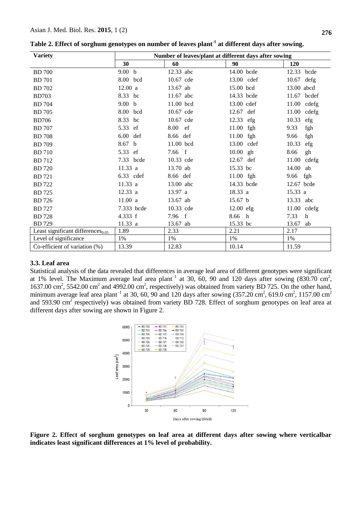# Asian J. Med. Biol. Res. **2015**, 1 (2) **276**

| <b>Variety</b>                                | Number of leaves/plant at different days after sowing |            |              |                |
|-----------------------------------------------|-------------------------------------------------------|------------|--------------|----------------|
|                                               | 30                                                    | 60         | 90           | <b>120</b>     |
| <b>BD</b> 700                                 | 9.00 b                                                | 12.33 abc  | 14.00 bcde   | 12.33 bcde     |
| <b>BD</b> 701                                 | 8.00 bcd                                              | 10.67 cde  | 13.00 cdef   | 10.67<br>defg  |
| <b>BD</b> 702                                 | 12.00 a                                               | 13.67 ab   | 15.00 bcd    | 13.00 abcd     |
| <b>BD703</b>                                  | 8.33 bc                                               | 11.67 abc  | 14.33 bcde   | 11.67<br>bcdef |
| <b>BD</b> 704                                 | 9.00 <sub>b</sub>                                     | 11.00 bcd  | 13.00 cdef   | $11.00$ cdefg  |
| <b>BD</b> 705                                 | 8.00 bcd                                              | 10.67 cde  | 12.67 def    | $11.00$ cdefg  |
| <b>BD706</b>                                  | 8.33<br>bc                                            | 10.67 cde  | 12.33 efg    | 10.33<br>efg   |
| <b>BD</b> 707                                 | 5.33<br>ef                                            | 8.00<br>ef | 11.00<br>fgh | 9.33<br>fgh    |
| <b>BD</b> 708                                 | 6.00<br>def                                           | 8.66 def   | 11.00 fgh    | fgh<br>9.66    |
| <b>BD</b> 709                                 | 8.67 b                                                | 11.00 bcd  | 13.00 cdef   | 10.33<br>efg   |
| <b>BD</b> 710                                 | 5.33 ef                                               | 7.66 f     | 10.00 gh     | 8.66<br>gh     |
| <b>BD</b> 712                                 | 7.33 bcde                                             | 10.33 cde  | 12.67 def    | $11.00$ cdefg  |
| <b>BD</b> 720                                 | 11.33a                                                | 13.70 ab   | 15.33 bc     | 14.00<br>ab    |
| <b>BD</b> 721                                 | 6.33 cdef                                             | 8.66 def   | 11.00 fgh    | 9.66 fgh       |
| <b>BD</b> 722                                 | 11.33 a                                               | 13.00 abc  | 14.33 bcde   | 12.67 bcde     |
| <b>BD</b> 725                                 | 12.33 a                                               | 13.97 a    | 18.33 a      | 15.33 a        |
| <b>BD</b> 726                                 | 11.00a                                                | 13.67 ab   | 15.67 b      | 13.33 abc      |
| <b>BD</b> 727                                 | 7.333 bcde                                            | 10.33 cde  | $12.00$ efg  | 11.00 cdefg    |
| <b>BD</b> 728                                 | 4.333 f                                               | 7.96 f     | 8.66<br>h    | 7.33<br>h      |
| <b>BD</b> 729                                 | 11.33 a                                               | 13.67 ab   | 15.33 bc     | 13.67<br>ab    |
| Least significant differences <sub>0.05</sub> | 1.89                                                  | 2.33       | 2.21         | 2.17           |
| Level of significance                         | $1\%$                                                 | $1\%$      | $1\%$        | 1%             |
| Co-efficient of variation $(\%)$              | 13.39                                                 | 12.83      | 10.14        | 11.59          |

**Table 2. Effect of sorghum genotypes on number of leaves plant-1 at different days after sowing.** 

# **3.3. Leaf area**

Statistical analysis of the data revealed that differences in average leaf area of different genotypes were significant at 1% level. The Maximum average leaf area plant<sup>-1</sup> at 30, 60, 90 and 120 days after sowing (830.70 cm<sup>2</sup>, 1637.00 cm<sup>2</sup>, 5542.00 cm<sup>2</sup> and 4992.00 cm<sup>2</sup>, respectively) was obtained from variety BD 725. On the other hand, minimum average leaf area plant<sup>-1</sup> at 30, 60, 90 and 120 days after sowing  $(357.20 \text{ cm}^2, 619.0 \text{ cm}^2, 1157.00 \text{ cm}^2)$ and 593.90 cm<sup>2</sup> respectively) was obtained from variety BD 728. Effect of sorghum genotypes on leaf area at different days after sowing are shown in Figure 2.



**Figure 2. Effect of sorghum genotypes on leaf area at different days after sowing where verticalbar indicates least significant differences at 1% level of probability.**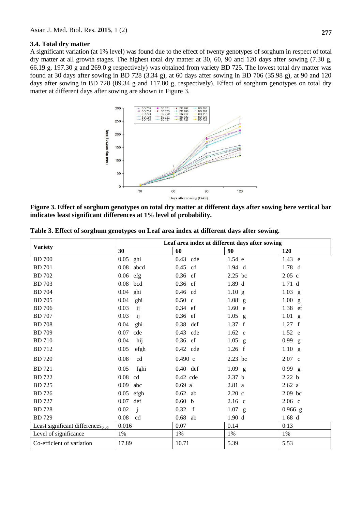#### **3.4. Total dry matter**

A significant variation (at 1% level) was found due to the effect of twenty genotypes of sorghum in respect of total dry matter at all growth stages. The highest total dry matter at 30, 60, 90 and 120 days after sowing (7.30 g, 66.19 g, 197.30 g and 269.0 g respectively) was obtained from variety BD 725. The lowest total dry matter was found at 30 days after sowing in BD 728 (3.34 g), at 60 days after sowing in BD 706 (35.98 g), at 90 and 120 days after sowing in BD 728 (89.34 g and 117.80 g, respectively). Effect of sorghum genotypes on total dry matter at different days after sowing are shown in Figure 3.



**Figure 3. Effect of sorghum genotypes on total dry matter at different days after sowing here vertical bar indicates least significant differences at 1% level of probability.**

|                                         | Leaf area index at different days after sowing |                      |                      |                   |
|-----------------------------------------|------------------------------------------------|----------------------|----------------------|-------------------|
| <b>Variety</b>                          | 30                                             | 60                   | 90                   | 120               |
| <b>BD</b> 700                           | $0.05$ ghi                                     | 0.43 cde             | 1.54 e               | 1.43 e            |
| <b>BD</b> 701                           | $0.08$ abcd                                    | $0.45$ cd            | $1.94$ d             | $1.78$ d          |
| <b>BD</b> 702                           | $0.06$ efg                                     | $0.36$ ef            | 2.25 bc              | $2.05$ c          |
| <b>BD</b> 703                           | 0.08<br>bcd                                    | $0.36$ ef            | 1.89d                | 1.71 <sub>d</sub> |
| <b>BD</b> 704                           | 0.04<br>ghi                                    | $0.46$ cd            | $1.10$ g             | $1.03$ g          |
| <b>BD</b> 705                           | 0.04<br>ghi                                    | $0.50$ c             | $1.08$ g             | 1.00 g            |
| <b>BD</b> 706                           | 0.03<br>ij                                     | 0.34 ef              | 1.60 e               | 1.38 ef           |
| <b>BD</b> 707                           | 0.03<br>ij                                     | $0.36$ ef            | 1.05<br>$\mathbf{g}$ | $1.01$ g          |
| <b>BD</b> 708                           | 0.04<br>ghi                                    | 0.38 def             | 1.37 f               | 1.27 f            |
| <b>BD</b> 709                           | 0.07<br>cde                                    | 0.43 cde             | 1.62 e               | 1.52 e            |
| <b>BD</b> 710                           | 0.04<br>hij                                    | $0.36$ ef            | $1.05$ g             | 0.99 g            |
| <b>BD</b> 712                           | 0.05<br>efgh                                   | 0.42 cde             | 1.26 f               | 1.10 g            |
| <b>BD</b> 720                           | 0.08<br>cd                                     | 0.490 c              | 2.23 bc              | 2.07 c            |
| <b>BD</b> 721                           | 0.05<br>fghi                                   | $0.40$ def           | $1.09$ g             | $0.99$ g          |
| <b>BD</b> 722                           | 0.08<br>cd                                     | $0.42$ cde           | 2.37 <sub>b</sub>    | 2.22 <sub>b</sub> |
| <b>BD</b> 725                           | 0.09<br>abc                                    | 0.69a                | 2.81a                | 2.62a             |
| <b>BD</b> 726                           | 0.05<br>efgh                                   | $0.62$ ab            | $2.20\text{ c}$      | 2.09 bc           |
| <b>BD</b> 727                           | 0.07<br>def                                    | 0.60 <sub>b</sub>    | $2.16$ c             | $2.06$ c          |
| <b>BD</b> 728                           | $0.02\,$<br>$\mathbf{i}$                       | 0.32<br>$\mathbf{f}$ | $1.07$ g             | $0.966$ g         |
| <b>BD</b> 729                           | 0.08<br>cd                                     | $0.68$ ab            | 1.90 d               | 1.68d             |
| Least significant differences $_{0.05}$ | 0.016                                          | 0.07                 | 0.14                 | 0.13              |
| Level of significance                   | 1%                                             | 1%                   | 1%                   | 1%                |
| Co-efficient of variation               | 17.89                                          | 10.71                | 5.39                 | 5.53              |

**Table 3. Effect of sorghum genotypes on Leaf area index at different days after sowing.**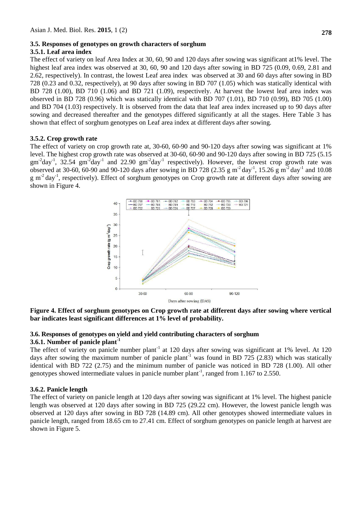# **3.5. Responses of genotypes on growth characters of sorghum**

# **3.5.1. Leaf area index**

The effect of variety on leaf Area Index at 30, 60, 90 and 120 days after sowing was significant at1% level. The highest leaf area index was observed at 30, 60, 90 and 120 days after sowing in BD 725 (0.09, 0.69, 2.81 and 2.62, respectively). In contrast, the lowest Leaf area index was observed at 30 and 60 days after sowing in BD 728 (0.23 and 0.32, respectively), at 90 days after sowing in BD 707 (1.05) which was statically identical with BD 728 (1.00), BD 710 (1.06) and BD 721 (1.09), respectively. At harvest the lowest leaf area index was observed in BD 728 (0.96) which was statically identical with BD 707 (1.01), BD 710 (0.99), BD 705 (1.00) and BD 704 (1.03) respectively. It is observed from the data that leaf area index increased up to 90 days after sowing and decreased thereafter and the genotypes differed significantly at all the stages. Here Table 3 has shown that effect of sorghum genotypes on Leaf area index at different days after sowing.

## **3.5.2. Crop growth rate**

The effect of variety on crop growth rate at, 30-60, 60-90 and 90-120 days after sowing was significant at 1% level. The highest crop growth rate was observed at 30-60, 60-90 and 90-120 days after sowing in BD 725 (5.15  $gm^{-2}day^{-1}$ , 32.54  $gm^{-2}day^{-1}$  and 22.90  $gm^{-2}day^{-1}$  respectively). However, the lowest crop growth rate was observed at 30-60, 60-90 and 90-120 days after sowing in BD 728 (2.35 g m<sup>-2</sup> day<sup>-1</sup>, 15.26 g m<sup>-2</sup> day<sup>-1</sup> and 10.08  $g$  m<sup>-2</sup> day<sup>-1</sup>, respectively). Effect of sorghum genotypes on Crop growth rate at different days after sowing are shown in Figure 4.



## **Figure 4. Effect of sorghum genotypes on Crop growth rate at different days after sowing where vertical bar indicates least significant differences at 1% level of probability.**

## **3.6. Responses of genotypes on yield and yield contributing characters of sorghum 3.6.1. Number of panicle plant-1**

The effect of variety on panicle number plant<sup>-1</sup> at 120 days after sowing was significant at 1% level. At 120 days after sowing the maximum number of panicle plant<sup>-1</sup> was found in BD 725 (2.83) which was statically identical with BD 722 (2.75) and the minimum number of panicle was noticed in BD 728 (1.00). All other genotypes showed intermediate values in panicle number plant<sup>-1</sup>, ranged from 1.167 to 2.550.

## **3.6.2. Panicle length**

The effect of variety on panicle length at 120 days after sowing was significant at 1% level. The highest panicle length was observed at 120 days after sowing in BD 725 (29.22 cm). However, the lowest panicle length was observed at 120 days after sowing in BD 728 (14.89 cm). All other genotypes showed intermediate values in panicle length, ranged from 18.65 cm to 27.41 cm. Effect of sorghum genotypes on panicle length at harvest are shown in Figure 5.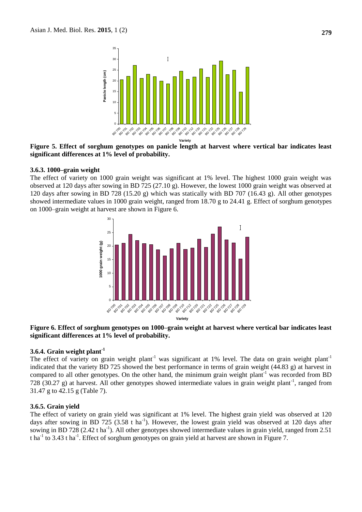

**Figure 5. Effect of sorghum genotypes on panicle length at harvest where vertical bar indicates least significant differences at 1% level of probability.**

#### **3.6.3. 1000–grain weight**

The effect of variety on 1000 grain weight was significant at 1% level. The highest 1000 grain weight was observed at 120 days after sowing in BD 725 (27.10 g). However, the lowest 1000 grain weight was observed at 120 days after sowing in BD 728 (15.20 g) which was statically with BD 707 (16.43 g). All other genotypes showed intermediate values in 1000 grain weight, ranged from 18.70 g to 24.41 g. Effect of sorghum genotypes on 1000–grain weight at harvest are shown in Figure 6.



#### **Figure 6. Effect of sorghum genotypes on 1000–grain weight at harvest where vertical bar indicates least significant differences at 1% level of probability.**

# **3.6.4. Grain weight plant-1**

The effect of variety on grain weight plant<sup>-1</sup> was significant at 1% level. The data on grain weight plant<sup>-1</sup> indicated that the variety BD 725 showed the best performance in terms of grain weight (44.83 g) at harvest in compared to all other genotypes. On the other hand, the minimum grain weight plant<sup>-1</sup> was recorded from BD 728 (30.27 g) at harvest. All other genotypes showed intermediate values in grain weight plant<sup>-1</sup>, ranged from 31.47 g to 42.15 g (Table 7).

#### **3.6.5. Grain yield**

The effect of variety on grain yield was significant at 1% level. The highest grain yield was observed at 120 days after sowing in BD 725 (3.58 t ha<sup>-1</sup>). However, the lowest grain yield was observed at 120 days after sowing in BD 728 (2.42 t ha<sup>-1</sup>). All other genotypes showed intermediate values in grain yield, ranged from 2.51 t ha<sup>-1</sup> to 3.43 t ha<sup>-1</sup>. Effect of sorghum genotypes on grain yield at harvest are shown in Figure 7.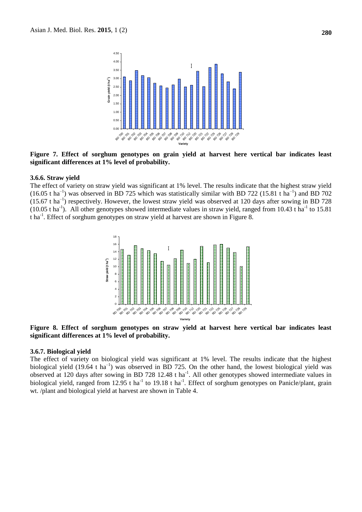

**Figure 7. Effect of sorghum genotypes on grain yield at harvest here vertical bar indicates least significant differences at 1% level of probability.**

#### **3.6.6. Straw yield**

The effect of variety on straw yield was significant at 1% level. The results indicate that the highest straw yield  $(16.05 \text{ t ha}^{-1})$  was observed in BD 725 which was statistically similar with BD 722 (15.81 t ha<sup>-1</sup>) and BD 702  $(15.67 \text{ t ha}^{-1})$  respectively. However, the lowest straw yield was observed at 120 days after sowing in BD 728  $(10.05 \text{ tha}^{-1})$ . All other genotypes showed intermediate values in straw yield, ranged from 10.43 t ha<sup>-1</sup> to 15.81 t ha<sup>-1</sup>. Effect of sorghum genotypes on straw yield at harvest are shown in Figure 8.



**Figure 8. Effect of sorghum genotypes on straw yield at harvest here vertical bar indicates least significant differences at 1% level of probability.**

#### **3.6.7. Biological yield**

The effect of variety on biological yield was significant at 1% level. The results indicate that the highest biological yield  $(19.64 \text{ t} \text{ ha}^{-1})$  was observed in BD 725. On the other hand, the lowest biological yield was observed at 120 days after sowing in BD 728 12.48 t ha<sup>-1</sup>. All other genotypes showed intermediate values in biological yield, ranged from 12.95 t ha<sup>-1</sup> to 19.18 t ha<sup>-1</sup>. Effect of sorghum genotypes on Panicle/plant, grain wt. /plant and biological yield at harvest are shown in Table 4.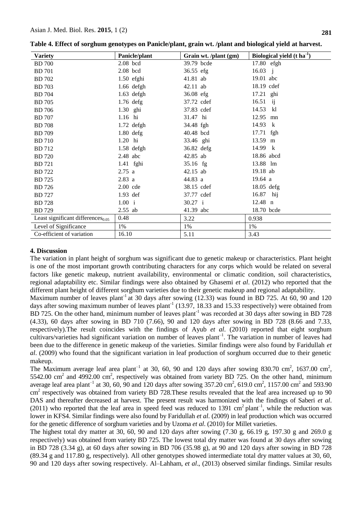| <b>Variety</b>                          | Panicle/plant | Grain wt. /plant (gm) | Biological yield $(t \text{ ha}^{-1})$ |
|-----------------------------------------|---------------|-----------------------|----------------------------------------|
| <b>BD</b> 700                           | $2.08$ bcd    | 39.79 bcde            | 17.80 efgh                             |
| <b>BD</b> 701                           | $2.08$ bcd    | 36.55 efg             | $16.03 \text{ j}$                      |
| <b>BD</b> 702                           | $1.50$ efghi  | 41.81 ab              | 19.01 abc                              |
| <b>BD</b> 703                           | 1.66 defgh    | 42.11 ab              | 18.19 cdef                             |
| <b>BD</b> 704                           | $1.63$ defgh  | 36.08 efg             | 17.21 ghi                              |
| <b>BD</b> 705                           | $1.76$ defg   | 37.72 cdef            | 16.51<br>$\mathbf{ij}$                 |
| <b>BD</b> 706                           | 1.30 ghi      | 37.83 cdef            | 14.53 kl                               |
| <b>BD</b> 707                           | 1.16 hi       | 31.47 hi              | 12.95<br>mn                            |
| <b>BD</b> 708                           | 1.72 defgh    | 34.48 fgh             | 14.93 k                                |
| <b>BD</b> 709                           | $1.80$ defg   | 40.48 bcd             | 17.71 fgh                              |
| <b>BD</b> 710                           | 1.20 hi       | 33.46 ghi             | 13.59 m                                |
| <b>BD</b> 712                           | $1.58$ defgh  | 36.82 defg            | 14.99 k                                |
| <b>BD</b> 720                           | $2.48$ abc    | 42.85 ab              | 18.86 abcd                             |
| <b>BD</b> 721                           | 1.41 fghi     | 35.16 fg              | 13.88 lm                               |
| <b>BD</b> 722                           | 2.75 a        | 42.15 ab              | 19.18 ab                               |
| <b>BD</b> 725                           | 2.83 a        | 44.83 a               | 19.64 a                                |
| <b>BD</b> 726                           | 2.00 cde      | 38.15 cdef            | $18.05$ defg                           |
| <b>BD</b> 727                           | $1.93$ def    | 37.77 cdef            | 16.87 hij                              |
| <b>BD</b> 728                           | 1.00 i        | 30.27 i               | $12.48$ n                              |
| <b>BD</b> 729                           | $2.55$ ab     | 41.39 abc             | 18.70 bcde                             |
| Least significant differences $_{0.05}$ | 0.48          | 3.22                  | 0.938                                  |
| Level of Significance                   | 1%            | 1%                    | 1%                                     |
| Co-efficient of variation               | 16.10         | 5.11                  | 3.43                                   |

**Table 4. Effect of sorghum genotypes on Panicle/plant, grain wt. /plant and biological yield at harvest.**

## **4. Discussion**

The variation in plant height of sorghum was significant due to genetic makeup or characteristics. Plant height is one of the most important growth contributing characters for any corps which would be related on several factors like genetic makeup, nutrient availability, environmental or climatic condition, soil characteristics, regional adaptability etc. Similar findings were also obtained by Ghasemi *et al*. (2012) who reported that the different plant height of different sorghum varieties due to their genetic makeup and regional adaptability.

Maximum number of leaves plant<sup>-1</sup> at 30 days after sowing  $(12.33)$  was found in BD 725. At 60, 90 and 120 days after sowing maximum number of leaves plant<sup>-1</sup> (13.97, 18.33 and 15.33 respectively) were obtained from BD 725. On the other hand, minimum number of leaves plant<sup>-1</sup> was recorded at 30 days after sowing in BD 728 (4.33), 60 days after sowing in BD 710 (7.66), 90 and 120 days after sowing in BD 728 (8.66 and 7.33, respectively).The result coincides with the findings of Ayub *et al*. (2010) reported that eight sorghum cultivars/varieties had significant variation on number of leaves plant<sup>-1</sup>. The variation in number of leaves had been due to the difference in genetic makeup of the varieties. Similar findings were also found by Faridullah *et al*. (2009) who found that the significant variation in leaf production of sorghum occurred due to their genetic makeup.

The Maximum average leaf area plant<sup>-1</sup> at 30, 60, 90 and 120 days after sowing 830.70 cm<sup>2</sup>, 1637.00 cm<sup>2</sup>, 5542.00 cm<sup>2</sup> and 4992.00 cm<sup>2</sup>, respectively was obtained from variety BD 725. On the other hand, minimum average leaf area plant<sup>-1</sup> at 30, 60, 90 and 120 days after sowing 357.20 cm<sup>2</sup>, 619.0 cm<sup>2</sup>, 1157.00 cm<sup>2</sup> and 593.90 cm<sup>2</sup> respectively was obtained from variety BD 728. These results revealed that the leaf area increased up to 90 DAS and thereafter decreased at harvest. The present result was harmonized with the findings of Saberi *et al*.  $(2011)$  who reported that the leaf area in speed feed was reduced to 1391 cm<sup>2</sup> plant<sup>-1</sup>, while the reduction was lower in KFS4. Similar findings were also found by Faridullah *et al*. (2009) in leaf production which was occurred for the genetic difference of sorghum varieties and by Uzoma *et al*. (2010) for Millet varieties.

The highest total dry matter at 30, 60, 90 and 120 days after sowing  $(7.30 \text{ g}, 66.19 \text{ g}, 197.30 \text{ g})$  and 269.0 g respectively) was obtained from variety BD 725. The lowest total dry matter was found at 30 days after sowing in BD 728 (3.34 g), at 60 days after sowing in BD 706 (35.98 g), at 90 and 120 days after sowing in BD 728 (89.34 g and 117.80 g, respectively). All other genotypes showed intermediate total dry matter values at 30, 60, 90 and 120 days after sowing respectively. Al–Lahham, *et al*., (2013) observed similar findings. Similar results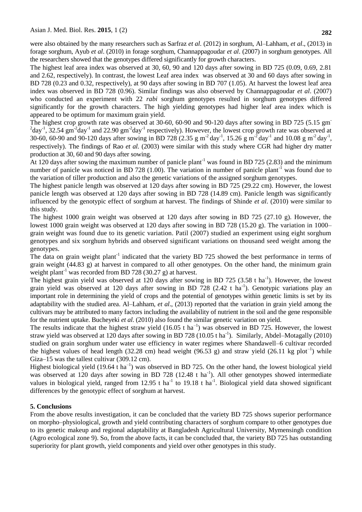were also obtained by the many researchers such as Sarfraz *et al*. (2012) in sorghum, Al–Lahham, *et al*., (2013) in forage sorghum, Ayub *et al*. (2010) in forage sorghum, Channappagoudar *et al*. (2007) in sorghum genotypes. All the researchers showed that the genotypes differed significantly for growth characters.

The highest leaf area index was observed at 30, 60, 90 and 120 days after sowing in BD 725 (0.09, 0.69, 2.81 and 2.62, respectively). In contrast, the lowest Leaf area index was observed at 30 and 60 days after sowing in BD 728 (0.23 and 0.32, respectively), at 90 days after sowing in BD 707 (1.05). At harvest the lowest leaf area index was observed in BD 728 (0.96). Similar findings was also observed by Channappagoudar *et al*. (2007) who conducted an experiment with 22 *rabi* sorghum genotypes resulted in sorghum genotypes differed significantly for the growth characters. The high yielding genotypes had higher leaf area index which is appeared to be optimum for maximum grain yield.

The highest crop growth rate was observed at 30-60, 60-90 and 90-120 days after sowing in BD 725 (5.15 gm<sup>-</sup>  $^{2}$ day<sup>-1</sup>, 32.54 gm<sup>-2</sup>day<sup>-1</sup> and 22.90 gm<sup>-2</sup>day<sup>-1</sup> respectively). However, the lowest crop growth rate was observed at 30-60, 60-90 and 90-120 days after sowing in BD 728 (2.35 g m<sup>-2</sup> day<sup>-1</sup>, 15.26 g m<sup>-2</sup> day<sup>-1</sup> and 10.08 g m<sup>-2</sup> day<sup>-1</sup>, respectively). The findings of Rao *et al.* (2003) were similar with this study where CGR had higher dry matter production at 30, 60 and 90 days after sowing.

At 120 days after sowing the maximum number of panicle plant<sup>-1</sup> was found in BD 725 (2.83) and the minimum number of panicle was noticed in BD 728 (1.00). The variation in number of panicle plant<sup>-1</sup> was found due to the variation of tiller production and also the genetic variations of the assigned sorghum genotypes.

The highest panicle length was observed at 120 days after sowing in BD 725 (29.22 cm). However, the lowest panicle length was observed at 120 days after sowing in BD 728 (14.89 cm). Panicle length was significantly influenced by the genotypic effect of sorghum at harvest. The findings of Shinde *et al*. (2010) were similar to this study.

The highest 1000 grain weight was observed at 120 days after sowing in BD 725 (27.10 g). However, the lowest 1000 grain weight was observed at 120 days after sowing in BD 728 (15.20 g). The variation in 1000– grain weight was found due to its genetic variation. Patil (2007) studied an experiment using eight sorghum genotypes and six sorghum hybrids and observed significant variations on thousand seed weight among the genotypes.

The data on grain weight plant<sup>-1</sup> indicated that the variety BD 725 showed the best performance in terms of grain weight (44.83 g) at harvest in compared to all other genotypes. On the other hand, the minimum grain weight plant<sup>-1</sup> was recorded from BD 728 (30.27 g) at harvest.

The highest grain yield was observed at 120 days after sowing in BD 725 (3.58 t ha<sup>-1</sup>). However, the lowest grain yield was observed at 120 days after sowing in BD 728 (2.42 t ha<sup>-1</sup>). Genotypic variations play an important role in determining the yield of crops and the potential of genotypes within genetic limits is set by its adaptability with the studied area. Al–Lahham, *et al*., (2013) reported that the variation in grain yield among the cultivars may be attributed to many factors including the availability of nutrient in the soil and the gene responsible for the nutrient uptake. Bucheyeki *et al*. (2010) also found the similar genetic variation on yield.

The results indicate that the highest straw yield  $(16.05 \text{ t ha}^{-1})$  was observed in BD 725. However, the lowest straw yield was observed at 120 days after sowing in BD 728 (10.05 t ha<sup>-1</sup>). Similarly, Abdel–Motagally (2010) studied on grain sorghum under water use efficiency in water regimes where Shandawell–6 cultivar recorded the highest values of head length (32.28 cm) head weight (96.53 g) and straw yield (26.11 kg plot<sup>-1</sup>) while Giza–15 was the tallest cultivar (309.12 cm).

Highest biological yield  $(19.64 \text{ tha}^{-1})$  was observed in BD 725. On the other hand, the lowest biological yield was observed at 120 days after sowing in BD 728 (12.48 t ha<sup>-1</sup>). All other genotypes showed intermediate values in biological yield, ranged from 12.95 t ha<sup>-1</sup> to 19.18 t ha<sup>-1</sup>. Biological yield data showed significant differences by the genotypic effect of sorghum at harvest.

# **5. Conclusions**

From the above results investigation, it can be concluded that the variety BD 725 shows superior performance on morpho–physiological, growth and yield contributing characters of sorghum compare to other genotypes due to its genetic makeup and regional adaptability at Bangladesh Agricultural University, Mymensingh condition (Agro ecological zone 9). So, from the above facts, it can be concluded that, the variety BD 725 has outstanding superiority for plant growth, yield components and yield over other genotypes in this study.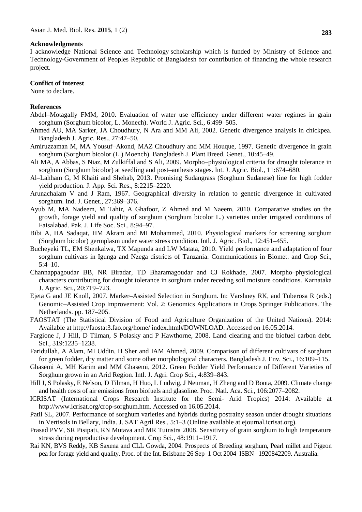#### **Acknowledgments**

I acknowledge [National Science and Technology](https://www.google.com.bd/url?sa=t&rct=j&q=&esrc=s&source=web&cd=2&cad=rja&uact=8&ved=0CDAQFjABahUKEwj95vvc3vTHAhXNU44KHe26CSo&url=http%3A%2F%2Fnews.priyo.com%2Ftaxonomy%2Fterm%2F33066&usg=AFQjCNHUG87KoxN8b1bdaK5sl-Ku5OVcLQ) scholarship which is funded by [Ministry of Science and](https://www.google.com.bd/url?sa=t&rct=j&q=&esrc=s&source=web&cd=1&cad=rja&uact=8&ved=0CCMQFjAAahUKEwj95vvc3vTHAhXNU44KHe26CSo&url=http%3A%2F%2Fwww.most.gov.bd%2F&usg=AFQjCNHa2yTzVm3igHBYr_jb6xfCl6DnQA)  [Technology-Government of Peoples Republic of Bangladesh](https://www.google.com.bd/url?sa=t&rct=j&q=&esrc=s&source=web&cd=1&cad=rja&uact=8&ved=0CCMQFjAAahUKEwj95vvc3vTHAhXNU44KHe26CSo&url=http%3A%2F%2Fwww.most.gov.bd%2F&usg=AFQjCNHa2yTzVm3igHBYr_jb6xfCl6DnQA) for contribution of financing the whole research project.

#### **Conflict of interest**

None to declare.

#### **References**

- Abdel–Motagally FMM, 2010. Evaluation of water use efficiency under different water regimes in grain sorghum (Sorghum bicolor, L. Monech). World J. Agric. Sci., 6:499–505.
- Ahmed AU, MA Sarker, JA Choudhury, N Ara and MM Ali, 2002. Genetic divergence analysis in chickpea. Bangladesh J. Agric. Res., 27:47–50.
- Amiruzzaman M, MA Yousuf–Akond, MAZ Choudhury and MM Houque, 1997. Genetic divergence in grain sorghum (Sorghum bicolor (L.) Moench). Bangladesh J. Plant Breed. Genet., 10:45–49.
- Ali MA, A Abbas, S Niaz, M Zulkiffal and S Ali, 2009. Morpho–physiological criteria for drought tolerance in sorghum (Sorghum bicolor) at seedling and post–anthesis stages. Int. J. Agric. Biol., 11:674–680.
- Al–Lahham G, M Khaiti and Shehab, 2013. Promising Sudangrass (Sorghum Sudanese) line for high fodder yield production. J. App. Sci. Res., 8:2215–2220.
- Arunachalam V and J Ram, 1967. Geographical diversity in relation to genetic divergence in cultivated sorghum. Ind. J. Genet., 27:369–376.
- Ayub M, MA Nadeem, M Tahir, A Ghafoor, Z Ahmed and M Naeem, 2010. Comparative studies on the growth, forage yield and quality of sorghum (Sorghum bicolor L.) varieties under irrigated conditions of Faisalabad. Pak. J. Life Soc. Sci., 8:94–97.
- Bibi A, HA Sadaqat, HM Akram and MI Mohammed, 2010. Physiological markers for screening sorghum (Sorghum bicolor) germplasm under water stress condition. Intl. J. Agric. Biol., 12:451–455.
- Bucheyeki TL, EM Shenkalwa, TX Mapunda and LW Matata, 2010. Yield performance and adaptation of four sorghum cultivars in Igunga and Nzega districts of Tanzania. Communications in Biomet. and Crop Sci.,  $5:4-10.$
- Channappagoudar BB, NR Biradar, TD Bharamagoudar and CJ Rokhade, 2007. Morpho–physiological characters contributing for drought tolerance in sorghum under receding soil moisture conditions. Karnataka J. Agric. Sci., 20:719–723.
- Ejeta G and JE Knoll, 2007. Marker–Assisted Selection in Sorghum. In: Varshney RK, and Tuberosa R (eds.) Genomic–Assisted Crop Improvement: Vol. 2: Genomics Applications in Crops Springer Publications. The Netherlands. pp. 187–205.
- FAOSTAT (The Statistical Division of Food and Agriculture Organization of the United Nations). 2014: Available at http://faostat3.fao.org/home/ index.html#DOWNLOAD. Accessed on 16.05.2014.
- Fargione J, J Hill, D Tilman, S Polasky and P Hawthorne, 2008. Land clearing and the biofuel carbon debt. Sci., 319:1235–1238.
- Faridullah, A Alam, MI Uddin, H Sher and IAM Ahmed, 2009. Comparison of different cultivars of sorghum for green fodder, dry matter and some other morphological characters. Bangladesh J. Env. Sci., 16:109–115.
- Ghasemi A, MH Karim and MM Ghasemi, 2012. Green Fodder Yield Performance of Different Varieties of Sorghum grown in an Arid Region. Intl. J. Agri. Crop Sci., 4:839–843.
- Hill J, S Polasky, E Nelson, D Tilman, H Huo, L Ludwig, J Neuman, H Zheng and D Bonta, 2009. Climate change and health costs of air emissions from biofuels and glasoline. Proc. Natl. Aca. Sci., 106:2077–2082.
- ICRISAT (International Crops Research Institute for the Semi- Arid Tropics) 2014: Available at http://www.icrisat.org/crop-sorghum.htm. Accessed on 16.05.2014.
- Patil SL, 2007. Performance of sorghum varieties and hybrids during postrainy season under drought situations in Vertisols in Bellary, India. J. SAT Agril Res., 5:1–3 (Online available at ejournal.icrisat.org).
- Prasad PVV, SR Pisipati, RN Mutava and MR Tuinstra 2008. Sensitivity of grain sorghum to high temperature stress during reproductive development. Crop Sci., 48:1911–1917.
- Rai KN, BVS Reddy, KB Saxena and CLL Gowda, 2004. Prospects of Breeding sorghum, Pearl millet and Pigeon pea for forage yield and quality. Proc. of the Int. Brisbane 26 Sep–1 Oct 2004–ISBN– 1920842209. Australia.